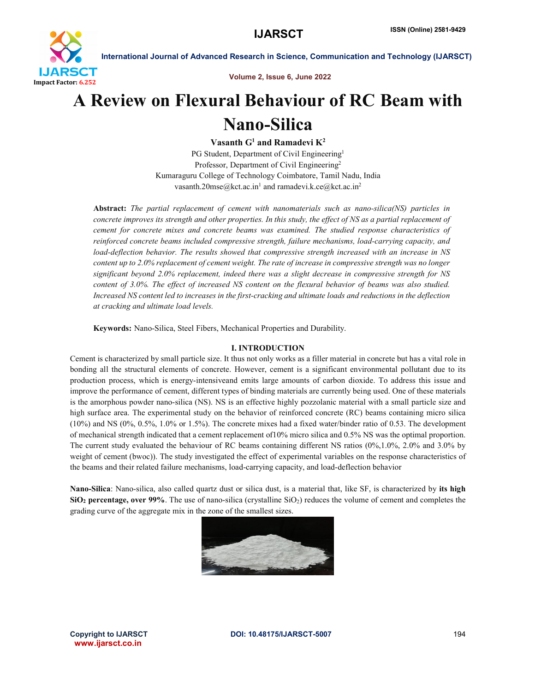

Volume 2, Issue 6, June 2022

# A Review on Flexural Behaviour of RC Beam with Nano-Silica

Vasanth  $G^1$  and Ramadevi  $K^2$ 

PG Student, Department of Civil Engineering<sup>1</sup> Professor, Department of Civil Engineering<sup>2</sup> Kumaraguru College of Technology Coimbatore, Tamil Nadu, India vasanth.20mse@kct.ac.in<sup>1</sup> and ramadevi.k.ce@kct.ac.in<sup>2</sup>

Abstract: *The partial replacement of cement with nanomaterials such as nano-silica(NS) particles in concrete improves its strength and other properties. In this study, the effect of NS as a partial replacement of cement for concrete mixes and concrete beams was examined. The studied response characteristics of reinforced concrete beams included compressive strength, failure mechanisms, load-carrying capacity, and load-deflection behavior. The results showed that compressive strength increased with an increase in NS content up to 2.0% replacement of cement weight. The rate of increase in compressive strength was no longer significant beyond 2.0% replacement, indeed there was a slight decrease in compressive strength for NS content of 3.0%. The effect of increased NS content on the flexural behavior of beams was also studied. Increased NS content led to increases in the first-cracking and ultimate loads and reductions in the deflection at cracking and ultimate load levels.*

Keywords: Nano-Silica, Steel Fibers, Mechanical Properties and Durability.

# I. INTRODUCTION

Cement is characterized by small particle size. It thus not only works as a filler material in concrete but has a vital role in bonding all the structural elements of concrete. However, cement is a significant environmental pollutant due to its production process, which is energy-intensiveand emits large amounts of carbon dioxide. To address this issue and improve the performance of cement, different types of binding materials are currently being used. One of these materials is the amorphous powder nano-silica (NS). NS is an effective highly pozzolanic material with a small particle size and high surface area. The experimental study on the behavior of reinforced concrete (RC) beams containing micro silica (10%) and NS (0%, 0.5%, 1.0% or 1.5%). The concrete mixes had a fixed water/binder ratio of 0.53. The development of mechanical strength indicated that a cement replacement of10% micro silica and 0.5% NS was the optimal proportion. The current study evaluated the behaviour of RC beams containing different NS ratios (0%,1.0%, 2.0% and 3.0% by weight of cement (bwoc)). The study investigated the effect of experimental variables on the response characteristics of the beams and their related failure mechanisms, load-carrying capacity, and load-deflection behavior

Nano-Silica: Nano-silica, also called quartz dust or silica dust, is a material that, like SF, is characterized by its high  $SiO<sub>2</sub>$  percentage, over 99%. The use of nano-silica (crystalline  $SiO<sub>2</sub>$ ) reduces the volume of cement and completes the grading curve of the aggregate mix in the zone of the smallest sizes.



www.ijarsct.co.in

Copyright to IJARSCTDOI: 10.48175/IJARSCT-5007 **194**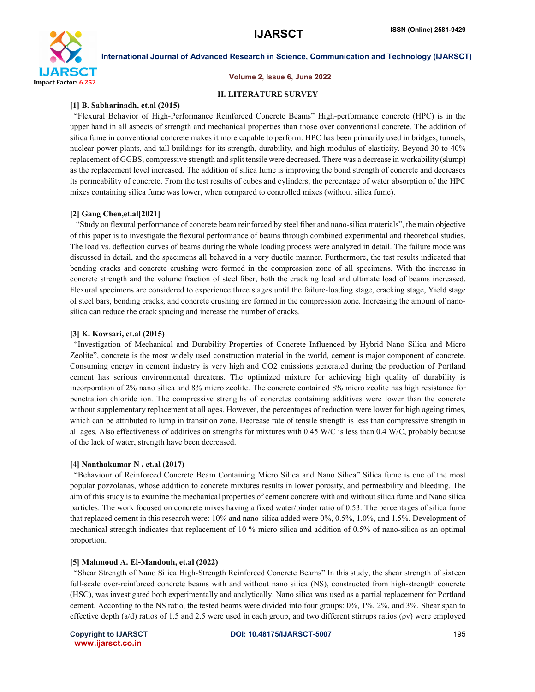

### Volume 2, Issue 6, June 2022

### II. LITERATURE SURVEY

### [1] B. Sabharinadh, et.al (2015)

"Flexural Behavior of High-Performance Reinforced Concrete Beams" High-performance concrete (HPC) is in the upper hand in all aspects of strength and mechanical properties than those over conventional concrete. The addition of silica fume in conventional concrete makes it more capable to perform. HPC has been primarily used in bridges, tunnels, nuclear power plants, and tall buildings for its strength, durability, and high modulus of elasticity. Beyond 30 to 40% replacement of GGBS, compressive strength and split tensile were decreased. There was a decrease in workability (slump) as the replacement level increased. The addition of silica fume is improving the bond strength of concrete and decreases its permeability of concrete. From the test results of cubes and cylinders, the percentage of water absorption of the HPC mixes containing silica fume was lower, when compared to controlled mixes (without silica fume).

### [2] Gang Chen,et.al[2021]

"Study on flexural performance of concrete beam reinforced by steel fiber and nano-silica materials", the main objective of this paper is to investigate the flexural performance of beams through combined experimental and theoretical studies. The load vs. deflection curves of beams during the whole loading process were analyzed in detail. The failure mode was discussed in detail, and the specimens all behaved in a very ductile manner. Furthermore, the test results indicated that bending cracks and concrete crushing were formed in the compression zone of all specimens. With the increase in concrete strength and the volume fraction of steel fiber, both the cracking load and ultimate load of beams increased. Flexural specimens are considered to experience three stages until the failure-loading stage, cracking stage, Yield stage of steel bars, bending cracks, and concrete crushing are formed in the compression zone. Increasing the amount of nanosilica can reduce the crack spacing and increase the number of cracks.

### [3] K. Kowsari, et.al (2015)

 "Investigation of Mechanical and Durability Properties of Concrete Influenced by Hybrid Nano Silica and Micro Zeolite", concrete is the most widely used construction material in the world, cement is major component of concrete. Consuming energy in cement industry is very high and CO2 emissions generated during the production of Portland cement has serious environmental threatens. The optimized mixture for achieving high quality of durability is incorporation of 2% nano silica and 8% micro zeolite. The concrete contained 8% micro zeolite has high resistance for penetration chloride ion. The compressive strengths of concretes containing additives were lower than the concrete without supplementary replacement at all ages. However, the percentages of reduction were lower for high ageing times, which can be attributed to lump in transition zone. Decrease rate of tensile strength is less than compressive strength in all ages. Also effectiveness of additives on strengths for mixtures with 0.45 W/C is less than 0.4 W/C, probably because of the lack of water, strength have been decreased.

### [4] Nanthakumar N , et.al (2017)

 "Behaviour of Reinforced Concrete Beam Containing Micro Silica and Nano Silica" Silica fume is one of the most popular pozzolanas, whose addition to concrete mixtures results in lower porosity, and permeability and bleeding. The aim of this study is to examine the mechanical properties of cement concrete with and without silica fume and Nano silica particles. The work focused on concrete mixes having a fixed water/binder ratio of 0.53. The percentages of silica fume that replaced cement in this research were: 10% and nano-silica added were 0%, 0.5%, 1.0%, and 1.5%. Development of mechanical strength indicates that replacement of 10 % micro silica and addition of 0.5% of nano-silica as an optimal proportion.

### [5] Mahmoud A. El-Mandouh, et.al (2022)

 "Shear Strength of Nano Silica High-Strength Reinforced Concrete Beams" In this study, the shear strength of sixteen full-scale over-reinforced concrete beams with and without nano silica (NS), constructed from high-strength concrete (HSC), was investigated both experimentally and analytically. Nano silica was used as a partial replacement for Portland cement. According to the NS ratio, the tested beams were divided into four groups: 0%, 1%, 2%, and 3%. Shear span to effective depth  $(a/d)$  ratios of 1.5 and 2.5 were used in each group, and two different stirrups ratios  $(pv)$  were employed

www.ijarsct.co.in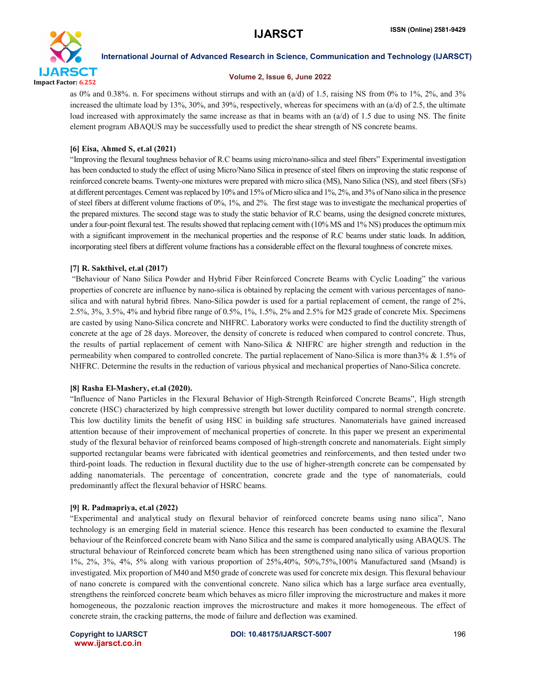

### Volume 2, Issue 6, June 2022

as 0% and 0.38%. n. For specimens without stirrups and with an  $(a/d)$  of 1.5, raising NS from 0% to 1%, 2%, and 3% increased the ultimate load by 13%, 30%, and 39%, respectively, whereas for specimens with an  $(a/d)$  of 2.5, the ultimate load increased with approximately the same increase as that in beams with an  $(a/d)$  of 1.5 due to using NS. The finite element program ABAQUS may be successfully used to predict the shear strength of NS concrete beams.

## [6] Eisa, Ahmed S, et.al (2021)

"Improving the flexural toughness behavior of R.C beams using micro/nano-silica and steel fibers" Experimental investigation has been conducted to study the effect of using Micro/Nano Silica in presence of steel fibers on improving the static response of reinforced concrete beams. Twenty-one mixtures were prepared with micro silica (MS), Nano Silica (NS), and steel fibers (SFs) at different percentages. Cement was replaced by 10% and 15% of Micro silica and 1%, 2%, and 3% of Nano silica in the presence of steel fibers at different volume fractions of 0%, 1%, and 2%. The first stage was to investigate the mechanical properties of the prepared mixtures. The second stage was to study the static behavior of R.C beams, using the designed concrete mixtures, under a four-point flexural test. The results showed that replacing cement with (10% MS and 1% NS) produces the optimum mix with a significant improvement in the mechanical properties and the response of R.C beams under static loads. In addition, incorporating steel fibers at different volume fractions has a considerable effect on the flexural toughness of concrete mixes.

# [7] R. Sakthivel, et.al (2017)

"Behaviour of Nano Silica Powder and Hybrid Fiber Reinforced Concrete Beams with Cyclic Loading" the various properties of concrete are influence by nano-silica is obtained by replacing the cement with various percentages of nanosilica and with natural hybrid fibres. Nano-Silica powder is used for a partial replacement of cement, the range of 2%, 2.5%, 3%, 3.5%, 4% and hybrid fibre range of 0.5%, 1%, 1.5%, 2% and 2.5% for M25 grade of concrete Mix. Specimens are casted by using Nano-Silica concrete and NHFRC. Laboratory works were conducted to find the ductility strength of concrete at the age of 28 days. Moreover, the density of concrete is reduced when compared to control concrete. Thus, the results of partial replacement of cement with Nano-Silica & NHFRC are higher strength and reduction in the permeability when compared to controlled concrete. The partial replacement of Nano-Silica is more than3% & 1.5% of NHFRC. Determine the results in the reduction of various physical and mechanical properties of Nano-Silica concrete.

# [8] Rasha El-Mashery, et.al (2020).

"Influence of Nano Particles in the Flexural Behavior of High-Strength Reinforced Concrete Beams", High strength concrete (HSC) characterized by high compressive strength but lower ductility compared to normal strength concrete. This low ductility limits the benefit of using HSC in building safe structures. Nanomaterials have gained increased attention because of their improvement of mechanical properties of concrete. In this paper we present an experimental study of the flexural behavior of reinforced beams composed of high-strength concrete and nanomaterials. Eight simply supported rectangular beams were fabricated with identical geometries and reinforcements, and then tested under two third-point loads. The reduction in flexural ductility due to the use of higher-strength concrete can be compensated by adding nanomaterials. The percentage of concentration, concrete grade and the type of nanomaterials, could predominantly affect the flexural behavior of HSRC beams.

### [9] R. Padmapriya, et.al (2022)

"Experimental and analytical study on flexural behavior of reinforced concrete beams using nano silica", Nano technology is an emerging field in material science. Hence this research has been conducted to examine the flexural behaviour of the Reinforced concrete beam with Nano Silica and the same is compared analytically using ABAQUS. The structural behaviour of Reinforced concrete beam which has been strengthened using nano silica of various proportion 1%, 2%, 3%, 4%, 5% along with various proportion of 25%,40%, 50%,75%,100% Manufactured sand (Msand) is investigated. Mix proportion of M40 and M50 grade of concrete was used for concrete mix design. This flexural behaviour of nano concrete is compared with the conventional concrete. Nano silica which has a large surface area eventually, strengthens the reinforced concrete beam which behaves as micro filler improving the microstructure and makes it more homogeneous, the pozzalonic reaction improves the microstructure and makes it more homogeneous. The effect of concrete strain, the cracking patterns, the mode of failure and deflection was examined.

www.ijarsct.co.in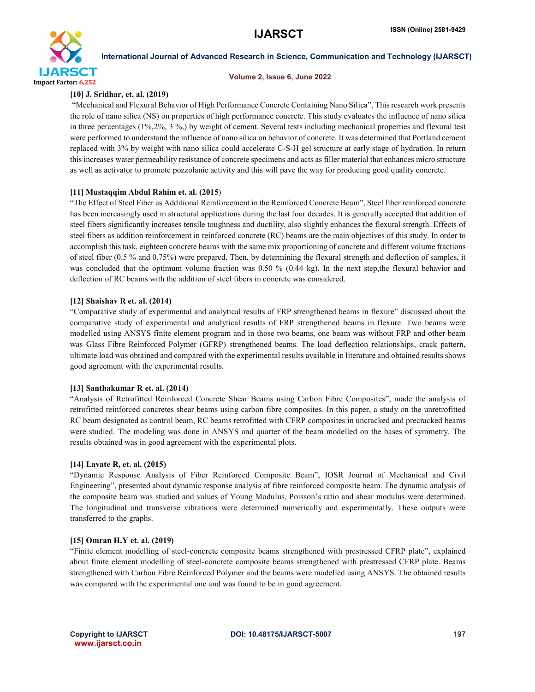

### Volume 2, Issue 6, June 2022

# [10] J. Sridhar, et. al. (2019)

"Mechanical and Flexural Behavior of High Performance Concrete Containing Nano Silica", This research work presents the role of nano silica (NS) on properties of high performance concrete. This study evaluates the influence of nano silica in three percentages (1%,2%, 3 %,) by weight of cement. Several tests including mechanical properties and flexural test were performed to understand the influence of nano silica on behavior of concrete. It was determined that Portland cement replaced with 3% by weight with nano silica could accelerate C-S-H gel structure at early stage of hydration. In return this increases water permeability resistance of concrete specimens and acts as filler material that enhances micro structure as well as activator to promote pozzolanic activity and this will pave the way for producing good quality concrete.

# [11] Mustaqqim Abdul Rahim et. al. (2015)

"The Effect of Steel Fiber as Additional Reinforcement in the Reinforced Concrete Beam", Steel fiber reinforced concrete has been increasingly used in structural applications during the last four decades. It is generally accepted that addition of steel fibers significantly increases tensile toughness and ductility, also slightly enhances the flexural strength. Effects of steel fibers as addition reinforcement in reinforced concrete (RC) beams are the main objectives of this study. In order to accomplish this task, eighteen concrete beams with the same mix proportioning of concrete and different volume fractions of steel fiber (0.5 % and 0.75%) were prepared. Then, by determining the flexural strength and deflection of samples, it was concluded that the optimum volume fraction was 0.50 % (0.44 kg). In the next step,the flexural behavior and deflection of RC beams with the addition of steel fibers in concrete was considered.

### [12] Shaishav R et. al. (2014)

"Comparative study of experimental and analytical results of FRP strengthened beams in flexure" discussed about the comparative study of experimental and analytical results of FRP strengthened beams in flexure. Two beams were modelled using ANSYS finite element program and in those two beams, one beam was without FRP and other beam was Glass Fibre Reinforced Polymer (GFRP) strengthened beams. The load deflection relationships, crack pattern, ultimate load was obtained and compared with the experimental results available in literature and obtained results shows good agreement with the experimental results.

### [13] Santhakumar R et. al. (2014)

"Analysis of Retrofitted Reinforced Concrete Shear Beams using Carbon Fibre Composites", made the analysis of retrofitted reinforced concretes shear beams using carbon fibre composites. In this paper, a study on the unretrofitted RC beam designated as control beam, RC beams retrofitted with CFRP composites in uncracked and precracked beams were studied. The modeling was done in ANSYS and quarter of the beam modelled on the bases of symmetry. The results obtained was in good agreement with the experimental plots.

### [14] Lavate R, et. al. (2015)

"Dynamic Response Analysis of Fiber Reinforced Composite Beam", IOSR Journal of Mechanical and Civil Engineering", presented about dynamic response analysis of fibre reinforced composite beam. The dynamic analysis of the composite beam was studied and values of Young Modulus, Poisson's ratio and shear modulus were determined. The longitudinal and transverse vibrations were determined numerically and experimentally. These outputs were transferred to the graphs.

### [15] Omran H.Y et. al. (2019)

"Finite element modelling of steel-concrete composite beams strengthened with prestressed CFRP plate", explained about finite element modelling of steel-concrete composite beams strengthened with prestressed CFRP plate. Beams strengthened with Carbon Fibre Reinforced Polymer and the beams were modelled using ANSYS. The obtained results was compared with the experimental one and was found to be in good agreement.